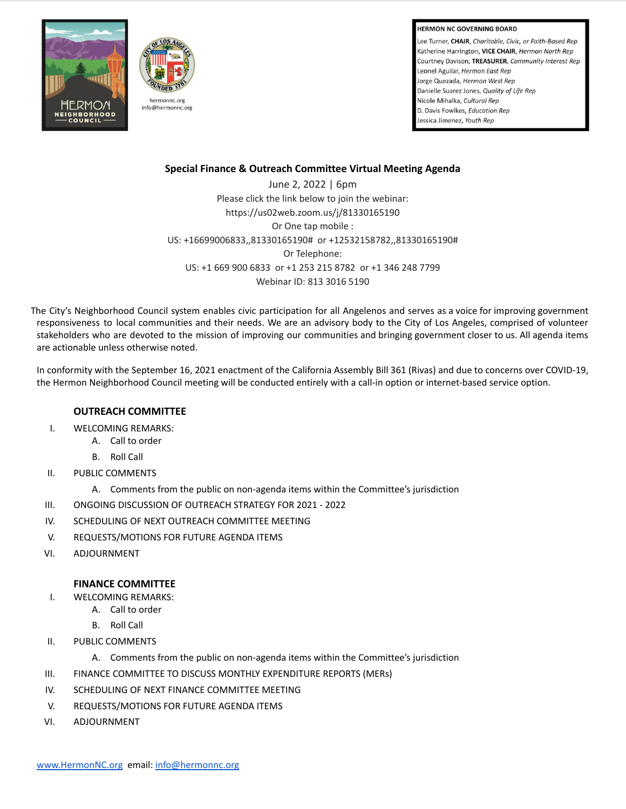**HERMON NC GOVERNING BOARD** 

Lee Turner, CHAIR, Charitable, Civic, or Faith-Based Rep Katherine Harrington, VICE CHAIR, Hermon North Rep Courtney Davison, TREASURER, Community Interest Rep Leonel Aguilar, Hermon East Rep Jorge Quezada, Hermon West Rep Danielle Suarez Jones, Quality of Life Rep Nicole Mihalka, Cultural Rep D. Davis Fowlkes, Education Rep Jessica Jimenez, Youth Rep





## **Special Finance & Outreach Committee Virtual Meeting Agenda**

June 2, 2022 | 6pm Please click the link below to join the webinar: https://us02web.zoom.us/j/81330165190 Or One tap mobile : US: +16699006833,,81330165190# or +12532158782,,81330165190# Or Telephone: US: +1 669 900 6833 or +1 253 215 8782 or +1 346 248 7799 Webinar ID: 813 3016 5190

The City's Neighborhood Council system enables civic participation for all Angelenos and serves as a voice for improving government responsiveness to local communities and their needs. We are an advisory body to the City of Los Angeles, comprised of volunteer stakeholders who are devoted to the mission of improving our communities and bringing government closer to us. All agenda items are actionable unless otherwise noted.

In conformity with the September 16, 2021 enactment of the California Assembly Bill 361 (Rivas) and due to concerns over COVID-19, the Hermon Neighborhood Council meeting will be conducted entirely with a call-in option or internet-based service option.

## **OUTREACH COMMITTEE**

- I. WELCOMING REMARKS:
	- A. Call to order
	- B. Roll Call
- II. PUBLIC COMMENTS
	- A. Comments from the public on non-agenda items within the Committee's jurisdiction
- III. ONGOING DISCUSSION OF OUTREACH STRATEGY FOR 2021 2022
- IV. SCHEDULING OF NEXT OUTREACH COMMITTEE MEETING
- V. REQUESTS/MOTIONS FOR FUTURE AGENDA ITEMS
- VI. ADJOURNMENT

## **FINANCE COMMITTEE**

- I. WELCOMING REMARKS:
	- A. Call to order
	- B. Roll Call
- II. PUBLIC COMMENTS
	- A. Comments from the public on non-agenda items within the Committee's jurisdiction
- III. FINANCE COMMITTEE TO DISCUSS MONTHLY EXPENDITURE REPORTS (MERs)
- IV. SCHEDULING OF NEXT FINANCE COMMITTEE MEETING
- V. REQUESTS/MOTIONS FOR FUTURE AGENDA ITEMS
- VI. ADJOURNMENT